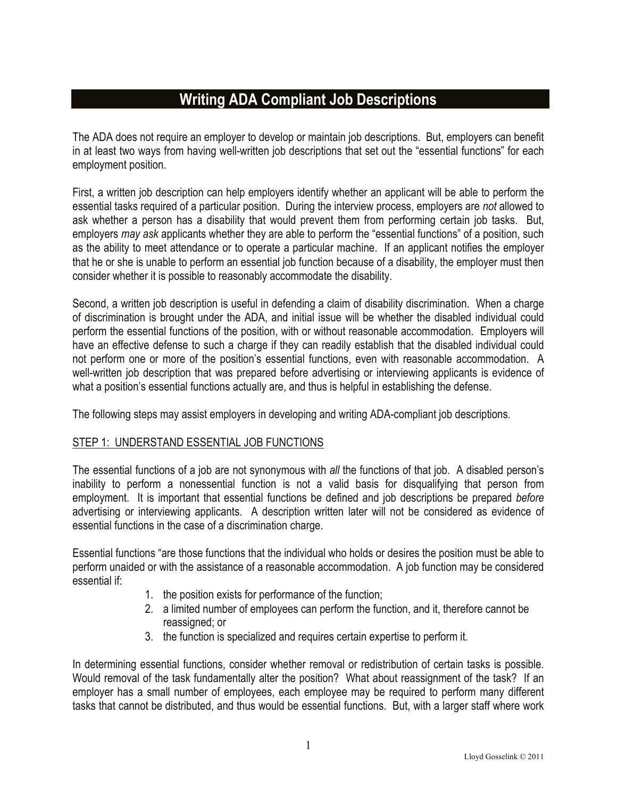# **Writing ADA Compliant Job Descriptions**

The ADA does not require an employer to develop or maintain job descriptions. But, employers can benefit in at least two ways from having well-written job descriptions that set out the "essential functions" for each employment position.

First, a written job description can help employers identify whether an applicant will be able to perform the essential tasks required of a particular position. During the interview process, employers are *not* allowed to ask whether a person has a disability that would prevent them from performing certain job tasks. But, employers *may ask* applicants whether they are able to perform the "essential functions" of a position, such as the ability to meet attendance or to operate a particular machine. If an applicant notifies the employer that he or she is unable to perform an essential job function because of a disability, the employer must then consider whether it is possible to reasonably accommodate the disability.

Second, a written job description is useful in defending a claim of disability discrimination. When a charge of discrimination is brought under the ADA, and initial issue will be whether the disabled individual could perform the essential functions of the position, with or without reasonable accommodation. Employers will have an effective defense to such a charge if they can readily establish that the disabled individual could not perform one or more of the position's essential functions, even with reasonable accommodation. A well-written job description that was prepared before advertising or interviewing applicants is evidence of what a position's essential functions actually are, and thus is helpful in establishing the defense.

The following steps may assist employers in developing and writing ADA-compliant job descriptions.

### STEP 1: UNDERSTAND ESSENTIAL JOB FUNCTIONS

The essential functions of a job are not synonymous with *all* the functions of that job. A disabled person's inability to perform a nonessential function is not a valid basis for disqualifying that person from employment. It is important that essential functions be defined and job descriptions be prepared *before* advertising or interviewing applicants. A description written later will not be considered as evidence of essential functions in the case of a discrimination charge.

Essential functions "are those functions that the individual who holds or desires the position must be able to perform unaided or with the assistance of a reasonable accommodation. A job function may be considered essential if:

- 1. the position exists for performance of the function;
- 2. a limited number of employees can perform the function, and it, therefore cannot be reassigned; or
- 3. the function is specialized and requires certain expertise to perform it.

In determining essential functions, consider whether removal or redistribution of certain tasks is possible. Would removal of the task fundamentally alter the position? What about reassignment of the task? If an employer has a small number of employees, each employee may be required to perform many different tasks that cannot be distributed, and thus would be essential functions. But, with a larger staff where work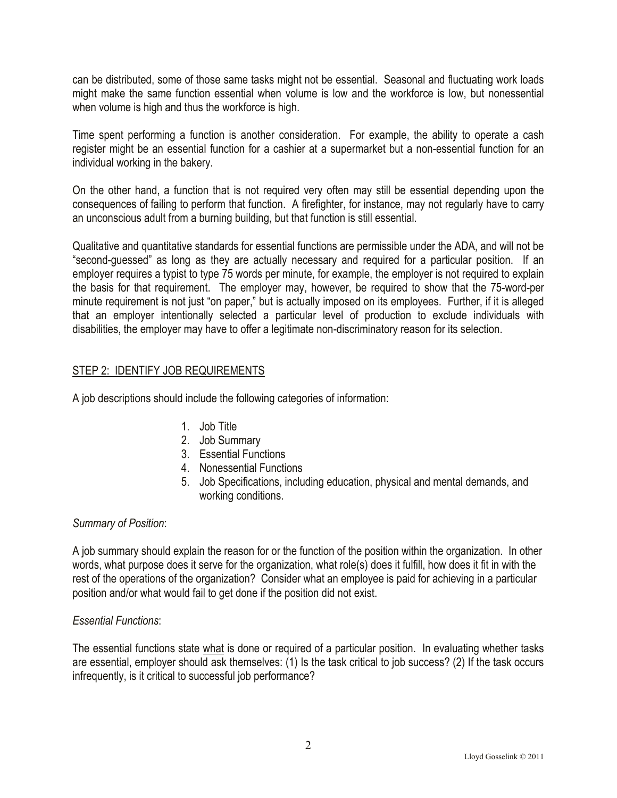can be distributed, some of those same tasks might not be essential. Seasonal and fluctuating work loads might make the same function essential when volume is low and the workforce is low, but nonessential when volume is high and thus the workforce is high.

Time spent performing a function is another consideration. For example, the ability to operate a cash register might be an essential function for a cashier at a supermarket but a non-essential function for an individual working in the bakery.

On the other hand, a function that is not required very often may still be essential depending upon the consequences of failing to perform that function. A firefighter, for instance, may not regularly have to carry an unconscious adult from a burning building, but that function is still essential.

Qualitative and quantitative standards for essential functions are permissible under the ADA, and will not be "second-guessed" as long as they are actually necessary and required for a particular position. If an employer requires a typist to type 75 words per minute, for example, the employer is not required to explain the basis for that requirement. The employer may, however, be required to show that the 75-word-per minute requirement is not just "on paper," but is actually imposed on its employees. Further, if it is alleged that an employer intentionally selected a particular level of production to exclude individuals with disabilities, the employer may have to offer a legitimate non-discriminatory reason for its selection.

### STEP 2: IDENTIFY JOB REQUIREMENTS

A job descriptions should include the following categories of information:

- 1. Job Title
- 2. Job Summary
- 3. Essential Functions
- 4. Nonessential Functions
- 5. Job Specifications, including education, physical and mental demands, and working conditions.

### *Summary of Position*:

A job summary should explain the reason for or the function of the position within the organization. In other words, what purpose does it serve for the organization, what role(s) does it fulfill, how does it fit in with the rest of the operations of the organization? Consider what an employee is paid for achieving in a particular position and/or what would fail to get done if the position did not exist.

### *Essential Functions*:

The essential functions state what is done or required of a particular position. In evaluating whether tasks are essential, employer should ask themselves: (1) Is the task critical to job success? (2) If the task occurs infrequently, is it critical to successful job performance?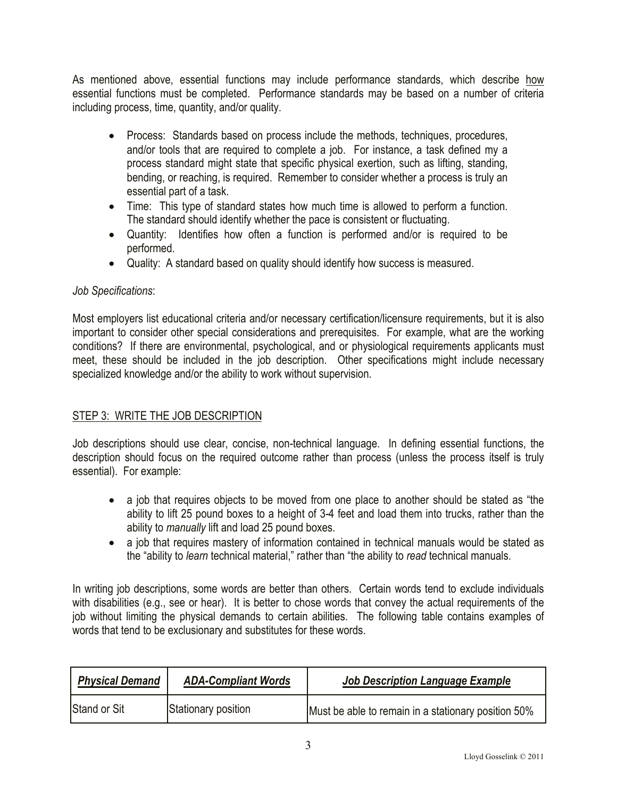As mentioned above, essential functions may include performance standards, which describe how essential functions must be completed. Performance standards may be based on a number of criteria including process, time, quantity, and/or quality.

- Process: Standards based on process include the methods, techniques, procedures, and/or tools that are required to complete a job. For instance, a task defined my a process standard might state that specific physical exertion, such as lifting, standing, bending, or reaching, is required. Remember to consider whether a process is truly an essential part of a task.
- Time: This type of standard states how much time is allowed to perform a function. The standard should identify whether the pace is consistent or fluctuating.
- Quantity: Identifies how often a function is performed and/or is required to be performed.
- Quality: A standard based on quality should identify how success is measured.

## *Job Specifications*:

Most employers list educational criteria and/or necessary certification/licensure requirements, but it is also important to consider other special considerations and prerequisites. For example, what are the working conditions? If there are environmental, psychological, and or physiological requirements applicants must meet, these should be included in the job description. Other specifications might include necessary specialized knowledge and/or the ability to work without supervision.

### STEP 3: WRITE THE JOB DESCRIPTION

Job descriptions should use clear, concise, non-technical language. In defining essential functions, the description should focus on the required outcome rather than process (unless the process itself is truly essential). For example:

- a job that requires objects to be moved from one place to another should be stated as "the ability to lift 25 pound boxes to a height of 3-4 feet and load them into trucks, rather than the ability to *manually* lift and load 25 pound boxes.
- a job that requires mastery of information contained in technical manuals would be stated as the "ability to *learn* technical material," rather than "the ability to *read* technical manuals.

In writing job descriptions, some words are better than others. Certain words tend to exclude individuals with disabilities (e.g., see or hear). It is better to chose words that convey the actual requirements of the job without limiting the physical demands to certain abilities. The following table contains examples of words that tend to be exclusionary and substitutes for these words.

| <b>Physical Demand</b> | <b>ADA-Compliant Words</b> | Job Description Language Example                    |
|------------------------|----------------------------|-----------------------------------------------------|
| <b>Stand or Sit</b>    | Stationary position        | Must be able to remain in a stationary position 50% |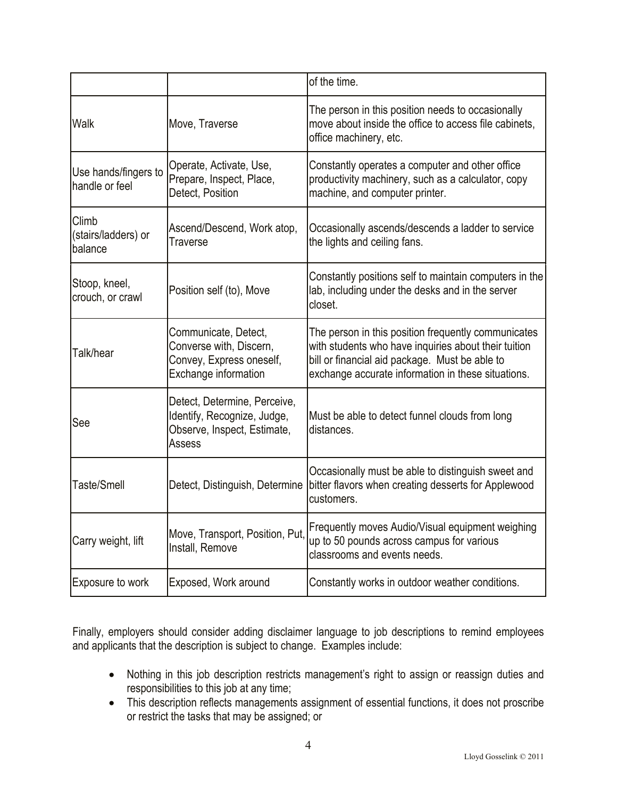|                                         |                                                                                                            | of the time.                                                                                                                                                                                                        |
|-----------------------------------------|------------------------------------------------------------------------------------------------------------|---------------------------------------------------------------------------------------------------------------------------------------------------------------------------------------------------------------------|
| Walk                                    | Move, Traverse                                                                                             | The person in this position needs to occasionally<br>move about inside the office to access file cabinets,<br>office machinery, etc.                                                                                |
| Use hands/fingers to<br>handle or feel  | Operate, Activate, Use,<br>Prepare, Inspect, Place,<br>Detect, Position                                    | Constantly operates a computer and other office<br>productivity machinery, such as a calculator, copy<br>machine, and computer printer.                                                                             |
| Climb<br>(stairs/ladders) or<br>balance | Ascend/Descend, Work atop,<br>Traverse                                                                     | Occasionally ascends/descends a ladder to service<br>the lights and ceiling fans.                                                                                                                                   |
| Stoop, kneel,<br>crouch, or crawl       | Position self (to), Move                                                                                   | Constantly positions self to maintain computers in the<br>lab, including under the desks and in the server<br>closet.                                                                                               |
| Talk/hear                               | Communicate, Detect,<br>Converse with, Discern,<br>Convey, Express oneself,<br><b>Exchange information</b> | The person in this position frequently communicates<br>with students who have inquiries about their tuition<br>bill or financial aid package. Must be able to<br>exchange accurate information in these situations. |
| See                                     | Detect, Determine, Perceive,<br>Identify, Recognize, Judge,<br>Observe, Inspect, Estimate,<br>Assess       | Must be able to detect funnel clouds from long<br>distances.                                                                                                                                                        |
| Taste/Smell                             | Detect, Distinguish, Determine                                                                             | Occasionally must be able to distinguish sweet and<br>bitter flavors when creating desserts for Applewood<br>customers.                                                                                             |
| Carry weight, lift                      | Move, Transport, Position, Put,<br>Install, Remove                                                         | Frequently moves Audio/Visual equipment weighing<br>up to 50 pounds across campus for various<br>classrooms and events needs.                                                                                       |
| Exposure to work                        | Exposed, Work around                                                                                       | Constantly works in outdoor weather conditions.                                                                                                                                                                     |

Finally, employers should consider adding disclaimer language to job descriptions to remind employees and applicants that the description is subject to change. Examples include:

- Nothing in this job description restricts management's right to assign or reassign duties and responsibilities to this job at any time;
- This description reflects managements assignment of essential functions, it does not proscribe or restrict the tasks that may be assigned; or